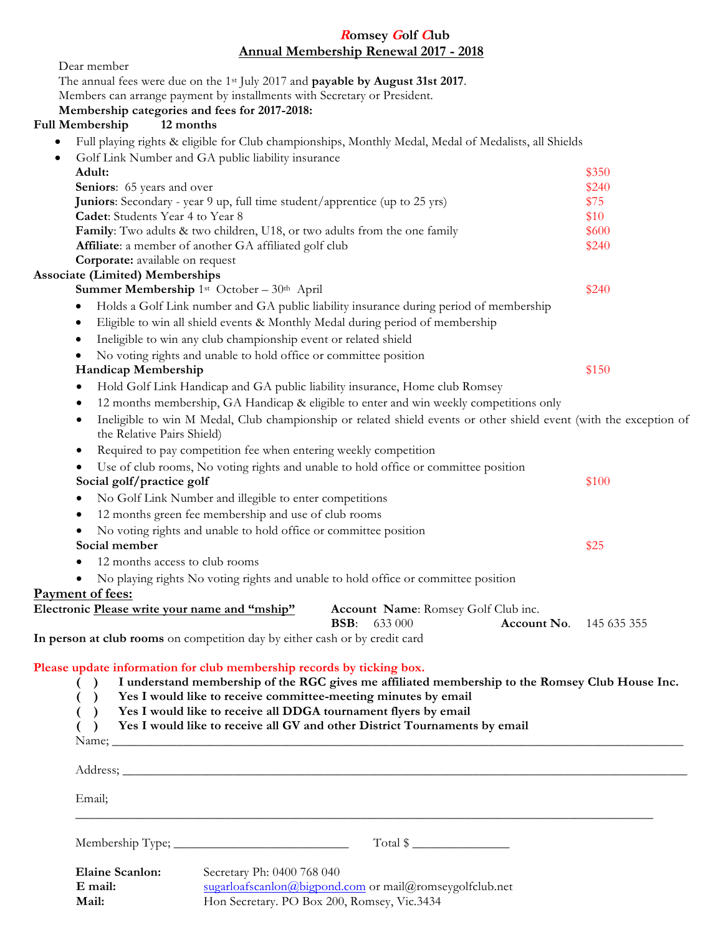| <b>Romsey Golf Club</b>                                                                                                                                                                                                                                                                                                                                                                                         |       |
|-----------------------------------------------------------------------------------------------------------------------------------------------------------------------------------------------------------------------------------------------------------------------------------------------------------------------------------------------------------------------------------------------------------------|-------|
| <b>Annual Membership Renewal 2017 - 2018</b>                                                                                                                                                                                                                                                                                                                                                                    |       |
| Dear member<br>The annual fees were due on the 1 <sup>st</sup> July 2017 and <b>payable by August 31st 2017</b> .                                                                                                                                                                                                                                                                                               |       |
| Members can arrange payment by installments with Secretary or President.                                                                                                                                                                                                                                                                                                                                        |       |
| Membership categories and fees for 2017-2018:                                                                                                                                                                                                                                                                                                                                                                   |       |
| 12 months<br><b>Full Membership</b>                                                                                                                                                                                                                                                                                                                                                                             |       |
| Full playing rights & eligible for Club championships, Monthly Medal, Medal of Medalists, all Shields                                                                                                                                                                                                                                                                                                           |       |
| Golf Link Number and GA public liability insurance<br>$\bullet$                                                                                                                                                                                                                                                                                                                                                 |       |
| Adult:                                                                                                                                                                                                                                                                                                                                                                                                          | \$350 |
| Seniors: 65 years and over                                                                                                                                                                                                                                                                                                                                                                                      | \$240 |
| Juniors: Secondary - year 9 up, full time student/apprentice (up to 25 yrs)                                                                                                                                                                                                                                                                                                                                     | \$75  |
| Cadet: Students Year 4 to Year 8                                                                                                                                                                                                                                                                                                                                                                                | \$10  |
| Family: Two adults & two children, U18, or two adults from the one family                                                                                                                                                                                                                                                                                                                                       | \$600 |
| Affiliate: a member of another GA affiliated golf club                                                                                                                                                                                                                                                                                                                                                          | \$240 |
| Corporate: available on request                                                                                                                                                                                                                                                                                                                                                                                 |       |
| <b>Associate (Limited) Memberships</b>                                                                                                                                                                                                                                                                                                                                                                          |       |
| Summer Membership 1st October - 30th April                                                                                                                                                                                                                                                                                                                                                                      | \$240 |
| Holds a Golf Link number and GA public liability insurance during period of membership<br>٠                                                                                                                                                                                                                                                                                                                     |       |
| Eligible to win all shield events & Monthly Medal during period of membership<br>٠                                                                                                                                                                                                                                                                                                                              |       |
| Ineligible to win any club championship event or related shield<br>٠                                                                                                                                                                                                                                                                                                                                            |       |
| No voting rights and unable to hold office or committee position<br>٠                                                                                                                                                                                                                                                                                                                                           |       |
| Handicap Membership                                                                                                                                                                                                                                                                                                                                                                                             | \$150 |
| Hold Golf Link Handicap and GA public liability insurance, Home club Romsey<br>٠                                                                                                                                                                                                                                                                                                                                |       |
| 12 months membership, GA Handicap & eligible to enter and win weekly competitions only                                                                                                                                                                                                                                                                                                                          |       |
| Ineligible to win M Medal, Club championship or related shield events or other shield event (with the exception of<br>٠<br>the Relative Pairs Shield)                                                                                                                                                                                                                                                           |       |
| Required to pay competition fee when entering weekly competition<br>٠                                                                                                                                                                                                                                                                                                                                           |       |
| Use of club rooms, No voting rights and unable to hold office or committee position<br>٠<br>Social golf/practice golf                                                                                                                                                                                                                                                                                           | \$100 |
| No Golf Link Number and illegible to enter competitions<br>٠                                                                                                                                                                                                                                                                                                                                                    |       |
| 12 months green fee membership and use of club rooms<br>$\bullet$                                                                                                                                                                                                                                                                                                                                               |       |
| No voting rights and unable to hold office or committee position                                                                                                                                                                                                                                                                                                                                                |       |
| Social member                                                                                                                                                                                                                                                                                                                                                                                                   | \$25  |
| 12 months access to club rooms                                                                                                                                                                                                                                                                                                                                                                                  |       |
| No playing rights No voting rights and unable to hold office or committee position                                                                                                                                                                                                                                                                                                                              |       |
| Payment of fees:                                                                                                                                                                                                                                                                                                                                                                                                |       |
| Electronic Please write your name and "mship"<br>Account Name: Romsey Golf Club inc.<br><b>Account No.</b> 145 635 355<br><b>BSB:</b> 633 000                                                                                                                                                                                                                                                                   |       |
| In person at club rooms on competition day by either cash or by credit card                                                                                                                                                                                                                                                                                                                                     |       |
| Please update information for club membership records by ticking box.<br>I understand membership of the RGC gives me affiliated membership to the Romsey Club House Inc.<br>( )<br>Yes I would like to receive committee-meeting minutes by email<br>Yes I would like to receive all DDGA tournament flyers by email<br>Yes I would like to receive all GV and other District Tournaments by email<br>$\lambda$ |       |
| Email;                                                                                                                                                                                                                                                                                                                                                                                                          |       |
|                                                                                                                                                                                                                                                                                                                                                                                                                 |       |
|                                                                                                                                                                                                                                                                                                                                                                                                                 |       |
| $B_{\text{bin}}$ Secretary $\frac{1}{2}$ Constant $\frac{1}{2}$ (400.769.040)                                                                                                                                                                                                                                                                                                                                   |       |

| <b>Elaine Scanlon:</b> | Secretary Ph: 0400 768 040                                |
|------------------------|-----------------------------------------------------------|
| E mail:                | $sugarloafscanlon@bigpond.com$ or mail@romseygolfclub.net |
| Mail:                  | Hon Secretary. PO Box 200, Romsey, Vic.3434               |